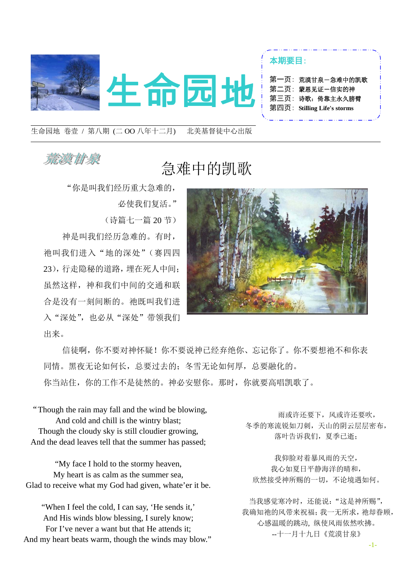

生命园地 卷壹 / 第八期 (二 OO 八年十二月) 北美基督徒中心出版

## 羞漢甘泉

## 急难中的凯歌

"你是叫我们经历重大急难的,

必使我们复活。"

(诗篇七一篇 20 节)

神是叫我们经历急难的。有时, 祂叫我们进入"地的深处"(赛四四 23),行走隐秘的道路,埋在死人中间; 虽然这样,神和我们中间的交通和联 合是没有一刻间断的。祂既叫我们进 入"深处",也必从"深处"带领我们 出来。



信徒啊,你不要对神怀疑!你不要说神已经弃绝你、忘记你了。你不要想祂不和你表 同情。黑夜无论如何长,总要过去的;冬雪无论如何厚,总要融化的。 你当站住,你的工作不是徒然的。神必安慰你。那时,你就要高唱凯歌了。

"Though the rain may fall and the wind be blowing, And cold and chill is the wintry blast; Though the cloudy sky is still cloudier growing, And the dead leaves tell that the summer has passed;

"My face I hold to the stormy heaven, My heart is as calm as the summer sea, Glad to receive what my God had given, whate'er it be.

 And His winds blow blessing, I surely know; "When I feel the cold, I can say, 'He sends it,' For I've never a want but that He attends it; And my heart beats warm, though the winds may blow."

 雨或许还要下,风或许还要吹, 冬季的寒流锐如刀刺,天山的阴云层层密布, 落叶告诉我们,夏季已逝;

我仰脸对着暴风雨的天空, 我心如夏日平静海洋的晴和, 欣然接受神所赐的一切,不论境遇如何。

当我感觉寒冷时,还能说:"这是神所赐", 我确知祂的风带来祝福;我一无所求,祂却眷顾, 心感温暖的跳动, 纵使风雨依然吹拂。 --十一月十九日《荒漠甘泉》

-1-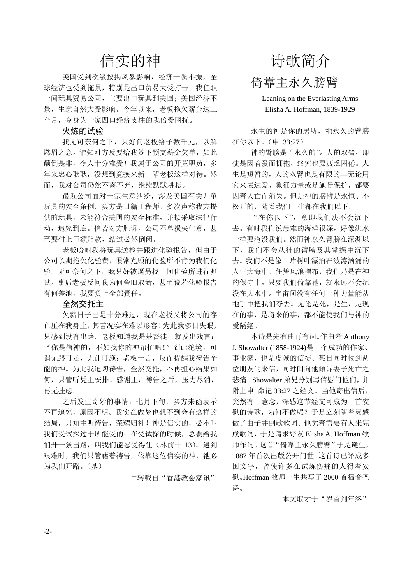## 信实的神

美国受到次级按揭风暴影响,经济一蹶不振,全 球经济也受到拖累,特别是出口贸易大受打击。我任职 一间玩具贸易公司,主要出口玩具到美国;美国经济不 景,生意自然大受影响。今年以来,老板拖欠薪金达三 个月,令身为一家四口经济支柱的我倍受困扰。

#### 火炼的试验

我无可奈何之下,只好问老板给予数千元,以解 燃眉之急。谁知对方反要给我签下预支薪金欠单,如此 颠倒是非,令人十分难受!我属于公司的开荒职员,多 年来忠心耿耿,没想到竟换来新一辈老板这样对待。然 而,我对公司仍然不离不弃,继续默默耕耘。

最近公司面对一宗生意纠纷,涉及美国有关儿童 玩具的安全条例。买方是日籍工程师,多次声称我方提 供的玩具,未能符合美国的安全标准,并拟采取法律行 动,追究到底。倘若对方胜诉,公司不单损失生意,甚 至要付上巨额赔款,结过必然倒闭。

老板吩咐我将玩具送检并跟进化验报告,但由于 公司长期拖欠化验费,惯常光顾的化验所不肯为我们化 验。无可奈何之下,我只好被逼另找一间化验所进行测 试。事后老板反问我为何舍旧取新,甚至说若化验报告 有何差池,我要负上全部责任。

#### 全然交托主

欠薪日子已是十分难过,现在老板又将公司的存 亡压在我身上,其苦况实在难以形容!为此我多日失眠, 只感到没有出路。老板知道我是基督徒,就发出戏言: "你是信神的,不如找你的神帮忙吧!"到此绝境,可 谓无路可走,无计可施;老板一言,反而提醒我祷告全 能的神。为此我迫切祷告,全然交托,不再担心结果如 何,只管听凭主安排。感谢主,祷告之后,压力尽消, 再无挂虑。

之后发生奇妙的事情:七月下旬,买方来函表示 不再追究,原因不明。我实在做梦也想不到会有这样的 结局,只知主听祷告,荣耀归神!神是信实的,必不叫 我们受试探过于所能受的;在受试探的时候,总要给我 们开一条出路,叫我们能忍受得住(林前十 13)。遇到 艰难时,我们只管藉着祷告,依靠这位信实的神,祂必 为我们开路。(基)

―转载自"香港教会家讯"

# 诗歌简介 倚靠主永久膀臂

Leaning on the Everlasting Arms Elisha A. Hoffman, 1839-1929

永生的神是你的居所, 祂永久的臂膀 在你以下。(申 33:27)

神的臂膀是"永久的"。人的双臂, 即 使是因着爱而拥抱,终究也要疲乏困倦。人 生是短暂的,人的双臂也是有限的—无论用 它来表达爱、象征力量或是施行保护,都要 因着人亡而消失。但是神的膀臂是永恒、不 松开的,随着我们一生都在我们以下。

"在你以下",意即我们决不会沉下 去。有时我们说患难的海洋很深,好像洪水 一样要淹没我们。然而神永久臂膀在深渊以 下,我们不会从神的臂膀及其掌握中沉下 去。我们不是像一片树叶漂泊在波涛汹涌的 人生大海中,任凭风浪摆布,我们乃是在神 的保守中。只要我们倚靠祂,就永远不会沉 没在大水中。宇宙间没有任何一种力量能从 祂手中把我们夺去。无论是死,是生,是现 在的事,是将来的事,都不能使我们与神的 爱隔绝。

本诗是先有曲再有词。作曲者 Anthony J. Showalter (1858-1924)是一个成功的作家、 事业家,也是虔诚的信徒。某日同时收到两 位朋友的来信,同时间向他倾诉妻子死亡之 悲痛。Showalter 弟兄分别写信慰问他们,并 附上申 命记 33:27 之经文。当他寄出信后, 突然有一意念,深感这节经文可成为一首安 慰的诗歌,为何不做呢?于是立刻随着灵感 做了曲子并副歌歌词。他觉着需要有人来完 成歌词,于是请求好友 Elisha A. Hoffman 牧 师作词。这首"倚靠主永久膀臂"于是诞生, 1887 年首次出版公开问世。这首诗已译成多 国文字,曾使许多在试炼伤痛的人得着安 慰。Hoffman 牧师一生共写了 2000 首福音圣 诗。

本文取才于"岁首到年终"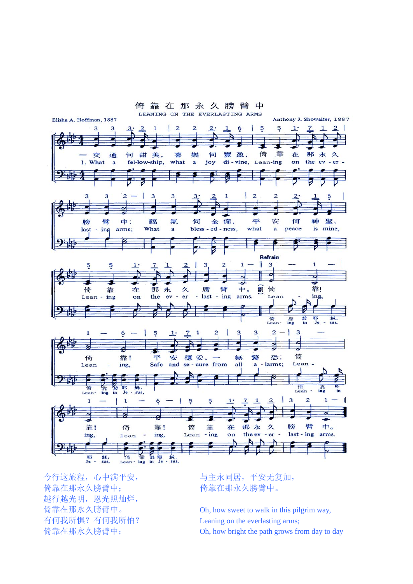

今行这旅程,心中满平安, 倚靠在那永久膀臂中; 越行越光明,恩光照灿烂, 倚靠在那永久膀臂中。 有何我所惧?有何我所怕? 倚靠在那永久膀臂中;

与主永同居,平安无复加, 倚靠在那永久膀臂中。

Oh, how sweet to walk in this pilgrim way, Leaning on the everlasting arms; Oh, how bright the path grows from day to day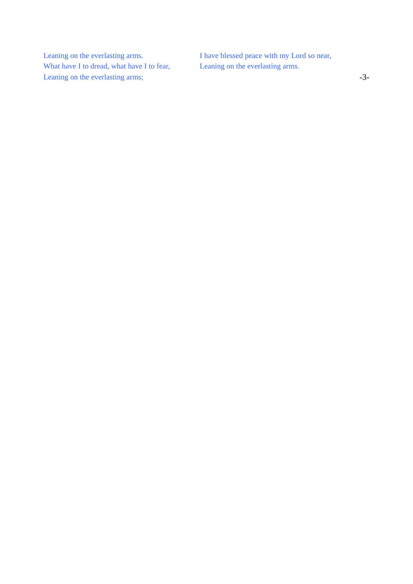Leaning on the everlasting arms. What have I to dread, what have I to fear, Leaning on the everlasting arms;

I have blessed peace with my Lord so near, Leaning on the everlasting arms.

-3-